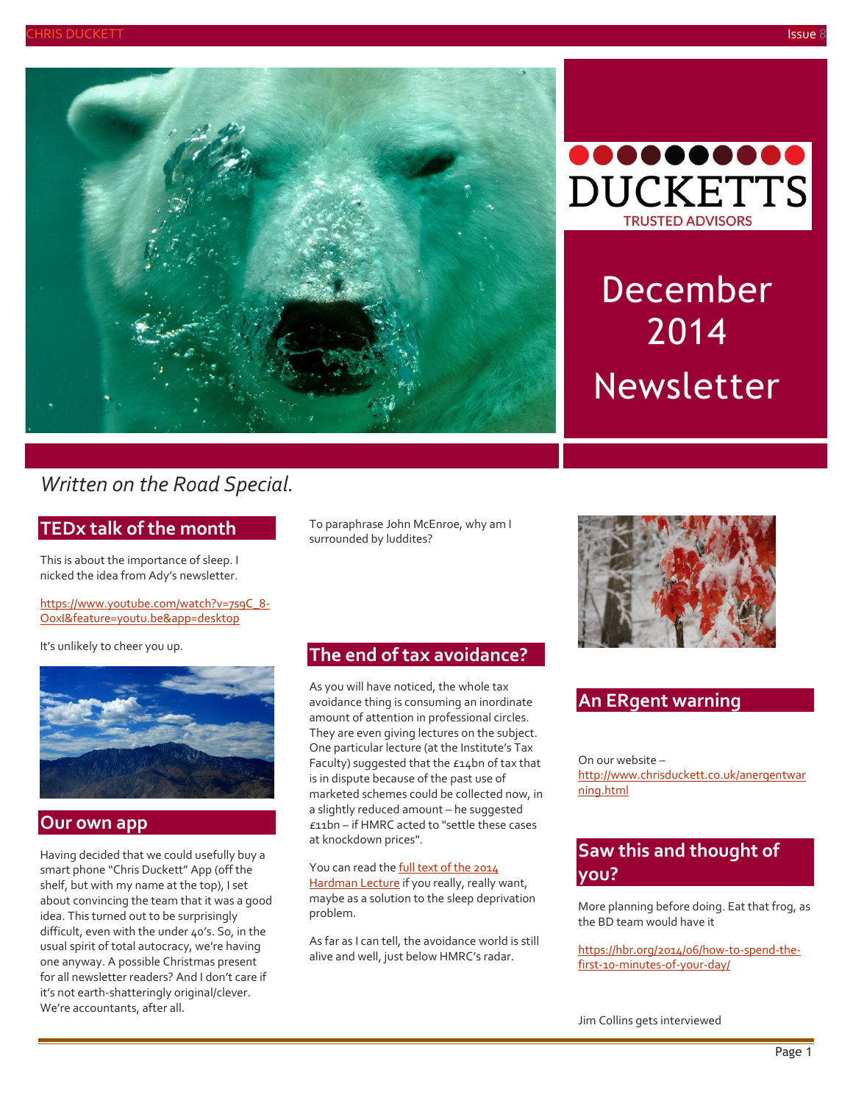



# December 2014 Newsletter

### *Written on the Road Special.*

#### **TEDx talk of the month**

This is about the importance of sleep. I nicked the idea from Ady's newsletter.<br>

[https://www.youtube.com/watch?v=7s9C\\_8-](https://www.youtube.com/watch?v=7s9C_8-OoxI&feature=youtu.be&app=desktop) [OoxI&feature=youtu.be&app=desktop](https://www.youtube.com/watch?v=7s9C_8-OoxI&feature=youtu.be&app=desktop)

It's unlikely to cheer you up.



#### **Our own app**

Having decided that we could usefully buy a smart phone "Chris Duckett" App (off the shelf, but with my name at the top), I set about convincing the team that it was a good idea. This turned out to be surprisingly difficult, even with the under 40's. So, in the usual spirit of total autocracy, we're having one anyway. A possible Christmas present for all newsletter readers? And I don't care if it's not earth-shatteringly original/clever. We're accountants, after all.

To paraphrase John McEnroe, why am I surrounded by luddites?

#### **The end of tax avoidance?**

As you will have noticed, the whole tax avoidance thing is consuming an inordinate amount of attention in professional circles. They are even giving lectures on the subject. One particular lecture (at the Institute's Tax Faculty) suggested that the £14bn of tax that is in dispute because of the past use of marketed schemes could be collected now, in a slightly reduced amount – he suggested £11bn – if HMRC acted to "settle these cases at knockdown prices".

You can read the full text of the 2014 [Hardman Lecture](http://www.ion.icaew.com/TaxFaculty/documents/download/?FsId=e537e7c9-7c5e-43e5-8ede-c82d5760b5fb&FsN=2014+Archive/Hardman+Lecture+2014/2014+Hardman+Lecture) if you really, really want, maybe as a solution to the sleep deprivation problem.

As far as I can tell, the avoidance world is still alive and well, just below HMRC's radar.



#### **An ERgent warning**

On our website – [http://www.chrisduckett.co.uk/anergentwar](http://www.chrisduckett.co.uk/anergentwarning.html) [ning.html](http://www.chrisduckett.co.uk/anergentwarning.html)

#### **Saw this and thought of you?**

More planning before doing. Eat that frog, as the BD team would have it

[https://hbr.org/2014/06/how-to-spend-the](https://hbr.org/2014/06/how-to-spend-the-first-10-minutes-of-your-day/)[first-10-minutes-of-your-day/](https://hbr.org/2014/06/how-to-spend-the-first-10-minutes-of-your-day/)

Jim Collins gets interviewed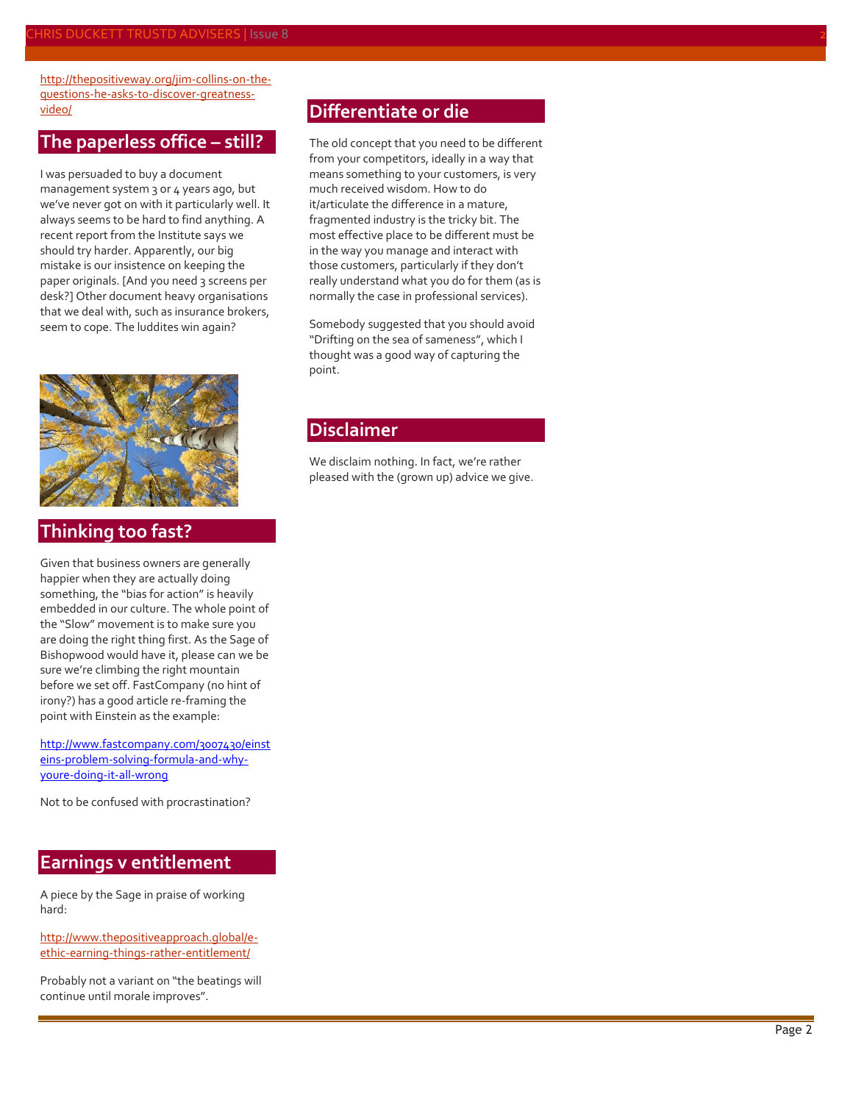[http://thepositiveway.org/jim-collins-on-the](http://thepositiveway.org/jim-collins-on-the-questions-he-asks-to-discover-greatness-video/)[questions-he-asks-to-discover-greatness](http://thepositiveway.org/jim-collins-on-the-questions-he-asks-to-discover-greatness-video/)[video/](http://thepositiveway.org/jim-collins-on-the-questions-he-asks-to-discover-greatness-video/)

#### **The paperless office – still?**

I was persuaded to buy a document management system 3 or 4 years ago, but we've never got on with it particularly well. It always seems to be hard to find anything. A recent report from the Institute says we should try harder. Apparently, our big mistake is our insistence on keeping the paper originals. [And you need 3 screens per desk?] Other document heavy organisations that we deal with, such as insurance brokers, seem to cope. The luddites win again?



#### **Thinking too fast?**

Given that business owners are generally happier when they are actually doing something, the "bias for action" is heavily embedded in our culture. The whole point of the "Slow" movement is to make sure you are doing the right thing first. As the Sage of Bishopwood would have it, please can we be sure we're climbing the right mountain before we set off. FastCompany (no hint of irony?) has a good article re-framing the point with Einstein as the example:

[http://www.fastcompany.com/3007430/einst](http://www.fastcompany.com/3007430/einsteins-problem-solving-formula-and-why-youre-doing-it-all-wrong) [eins-problem-solving-formula-and-why](http://www.fastcompany.com/3007430/einsteins-problem-solving-formula-and-why-youre-doing-it-all-wrong)[youre-doing-it-all-wrong](http://www.fastcompany.com/3007430/einsteins-problem-solving-formula-and-why-youre-doing-it-all-wrong)

Not to be confused with procrastination?

#### **Earnings v entitlement**

A piece by the Sage in praise of working hard:

[http://www.thepositiveapproach.global/e](http://www.thepositiveapproach.global/e-ethic-earning-things-rather-entitlement/)[ethic-earning-things-rather-entitlement/](http://www.thepositiveapproach.global/e-ethic-earning-things-rather-entitlement/)

Probably not a variant on "the beatings will continue until morale improves".

#### **Differentiate or die**

The old concept that you need to be different from your competitors, ideally in a way that means something to your customers, is very much received wisdom. How to do it/articulate the difference in a mature, fragmented industry is the tricky bit. The most effective place to be different must be in the way you manage and interact with those customers, particularly if they don't really understand what you do for them (as is normally the case in professional services).

Somebody suggested that you should avoid "Drifting on the sea of sameness", which I thought was a good way of capturing the point.

#### **Disclaimer**

We disclaim nothing. In fact, we're rather pleased with the (grown up) advice we give.